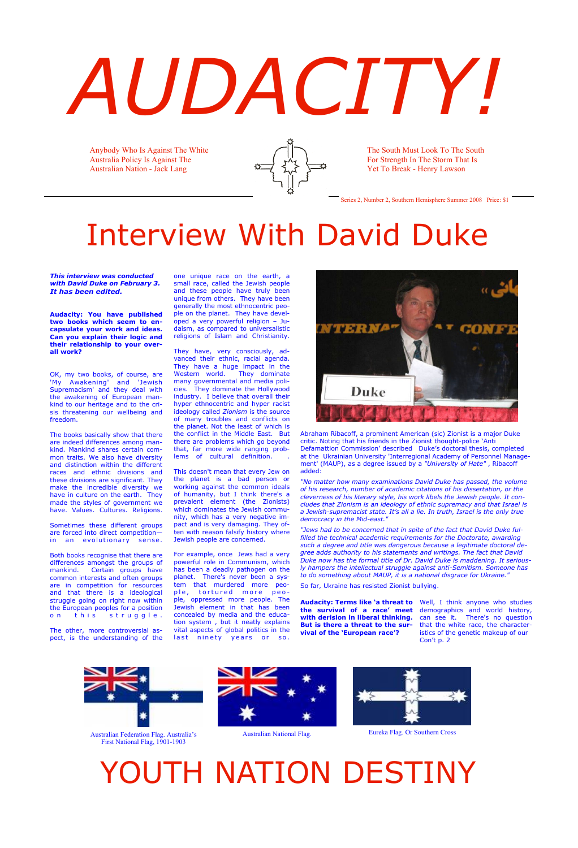# *AUDACITY!*

*This interview was conducted with David Duke on February 3. It has been edited.*

**Audacity: You have published two books which seem to encapsulate your work and ideas. Can you explain their logic and their relationship to your overall work?**

OK, my two books, of course, are 'My Awakening' and 'Jewish Supremacism' and they deal with the awakening of European mankind to our heritage and to the crisis threatening our wellbeing and freedom.

Sometimes these different groups are forced into direct competition in an evolutionary sense.

Both books recognise that there are differences amongst the groups of mankind. Certain groups have common interests and often groups are in competition for resources and that there is a ideological struggle going on right now within the European peoples for a position on this struggle.

The books basically show that there are indeed differences among mankind. Mankind shares certain common traits. We also have diversity and distinction within the different races and ethnic divisions and these divisions are significant. They make the incredible diversity we have in culture on the earth. They made the styles of government we have. Values. Cultures. Religions.

They have, very consciously, advanced their ethnic, racial agenda. They have a huge impact in the Western world. They dominate many governmental and media policies. They dominate the Hollywood industry. I believe that overall their hyper ethnocentric and hyper racist ideology called *Zionism* is the source of many troubles and conflicts on the planet. Not the least of which is the conflict in the Middle East. But there are problems which go beyond that, far more wide ranging problems of cultural definition.

For example, once Jews had a very powerful role in Communism, which has been a deadly pathogen on the planet. There's never been a system that murdered more people, tortured more people, oppressed more people. The Jewish element in that has been concealed by media and the education system , but it neatly explains vital aspects of global politics in the last ninety years or so.



The other, more controversial aspect, is the understanding of the one unique race on the earth, a small race, called the Jewish people and these people have truly been unique from others. They have been generally the most ethnocentric people on the planet. They have developed a very powerful religion – Judaism, as compared to universalistic religions of Islam and Christianity.

This doesn't mean that every Jew on the planet is a bad person or working against the common ideals of humanity, but I think there's a prevalent element (the Zionists) which dominates the Jewish community, which has a very negative impact and is very damaging. They often with reason falsify history where Jewish people are concerned.

**vival of the 'European race'?** 

**Audacity: Terms like 'a threat to**  Well, I think anyone who studies **the survival of a race' meet**  demographics and world history, **with derision in liberal thinking.**  can see it. There's no question **But is there a threat to the sur-**that the white race, the characteristics of the genetic makeup of our Con't p. 2

Anybody Who Is Against The White Australia Policy Is Against The Australian Nation - Jack Lang



The South Must Look To The South For Strength In The Storm That Is Yet To Break - Henry Lawson

Series 2, Number 2, Southern Hemisphere Summer 2008 Price: \$1



Australian Federation Flag. Australia's First National Flag, 1901-1903





Australian National Flag. Eureka Flag. Or Southern Cross

## YOUTH NATION DESTINY

# Interview With David Duke

Abraham Ribacoff, a prominent American (sic) Zionist is a major Duke critic. Noting that his friends in the Zionist thought-police 'Anti Defamattion Commission' described Duke's doctoral thesis, completed at the Ukrainian University 'Interregional Academy of Personnel Management' (MAUP), as a degree issued by a *"University of Hate"* , Ribacoff added:

*"No matter how many examinations David Duke has passed, the volume of his research, number of academic citations of his dissertation, or the cleverness of his literary style, his work libels the Jewish people. It concludes that Zionism is an ideology of ethnic supremacy and that Israel is a Jewish-supremacist state. It's all a lie. In truth, Israel is the only true democracy in the Mid-east."*

*"Jews had to be concerned that in spite of the fact that David Duke fulfilled the technical academic requirements for the Doctorate, awarding such a degree and title was dangerous because a legitimate doctoral degree adds authority to his statements and writings. The fact that David Duke now has the formal title of Dr. David Duke is maddening. It seriously hampers the intellectual struggle against anti-Semitism. Someone has to do something about MAUP, it is a national disgrace for Ukraine."*

So far, Ukraine has resisted Zionist bullying.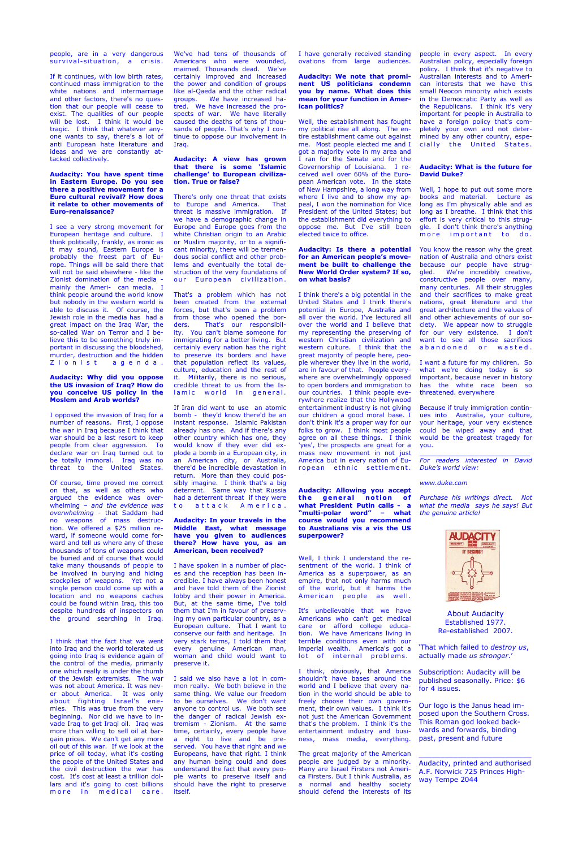people, are in a very dangerous survival-situation, a crisis.

If it continues, with low birth rates, continued mass immigration to the white nations and intermarriage and other factors, there's no question that our people will cease to exist. The qualities of our people will be lost. I think it would be tragic. I think that whatever anyone wants to say, there's a lot of anti European hate literature and ideas and we are constantly attacked collectively.

I see a very strong movement for European heritage and culture. I think politically, frankly, as ironic as it may sound, Eastern Europe is probably the freest part of Europe. Things will be said there that will not be said elsewhere - like the Zionist domination of the media mainly the Ameri- can media. I think people around the world know but nobody in the western world is able to discuss it. Of course, the Jewish role in the media has had a great impact on the Iraq War, the so-called War on Terror and I believe this to be something truly important in discussing the bloodshed, murder, destruction and the hidden Zionist agenda.

#### **Audacity: You have spent time in Eastern Europe. Do you see there a positive movement for a Euro cultural revival? How does it relate to other movements of Euro-renaissance?**

#### I think that the fact that we went into Iraq and the world tolerated us going into Iraq is evidence again of the control of the media, primarily one which really is under the thumb of the Jewish extremists. The war was not about America. It was never about America. It was only about fighting Israel's enemies. This was true from the very beginning. Nor did we have to invade Iraq to get Iraqi oil. Iraq was more than willing to sell oil at bargain prices. We can't get any more oil out of this war. If we look at the price of oil today, what it's costing the people of the United States and the civil destruction the war has cost. It's cost at least a trillion dollars and it's going to cost billions more in medical care.

#### **Audacity: Why did you oppose the US invasion of Iraq? How do you conceive US policy in the Moslem and Arab worlds?**

I opposed the invasion of Iraq for a number of reasons. First, I oppose the war in Iraq because I think that war should be a last resort to keep people from clear aggression. To declare war on Iraq turned out to be totally immoral. Iraq was no threat to the United States.

There's only one threat that exists to Europe and America. That threat is massive immigration. If we have a demographic change in Europe and Europe goes from the white Christian origin to an Arabic or Muslim majority, or to a significant minority, there will be tremendous social conflict and other problems and eventually the total destruction of the very foundations of our European civilization.

That's a problem which has not been created from the external forces, but that's been a problem from those who opened the borders. That's our responsibility. You can't blame someone for immigrating for a better living. But certainly every nation has the right to preserve its borders and have that population reflect its values, culture, education and the rest of it. Militarily, there is no serious, credible threat to us from the Islamic world in general.

Of course, time proved me correct on that, as well as others who argued the evidence was overwhelming – *and the evidence was overwhelming* - that Saddam had no weapons of mass destruction. We offered a \$25 million reward, if someone would come forward and tell us where any of these thousands of tons of weapons could be buried and of course that would take many thousands of people to be involved in burying and hiding stockpiles of weapons. Yet not a single person could come up with a location and no weapons caches could be found within Iraq, this too despite hundreds of inspectors on the ground searching in Iraq.

If Iran did want to use an atomic bomb - they'd know there'd be an instant response. Islamic Pakistan already has one. And if there's any other country which has one, they would know if they ever did explode a bomb in a European city, in an American city, or Australia, there'd be incredible devastation in return. More than they could possibly imagine. I think that's a big deterrent. Same way that Russia had a deterrent threat if they were to attack America.

We've had tens of thousands of Americans who were wounded, maimed. Thousands dead. We've certainly improved and increased the power and condition of groups like al-Qaeda and the other radical groups. We have increased hatred. We have increased the prospects of war. We have literally caused the deaths of tens of thousands of people. That's why I continue to oppose our involvement in Iraq.

> I think there's a big potential in the United States and I think there's potential in Europe, Australia and all over the world. I've lectured all over the world and I believe that my representing the preserving of western Christian civilization and western culture. I think that the great majority of people here, people wherever they live in the world, are in favour of that. People everywhere are overwhelmingly opposed to open borders and immigration to our countries. I think people everywhere realize that the Hollywood entertainment industry is not giving our children a good moral base. I don't think it's a proper way for our folks to grow. I think most people agree on all these things. I think 'yes', the prospects are great for a mass new movement in not just America but in every nation of European ethnic settlement.

#### **Audacity: A view has grown that there is some 'Islamic challenge' to European civilization. True or false?**

sentment of the world. I think of America as a superpower, as an empire, that not only harms much of the world, but it harms the American people as well.

It's unbelievable that we have Americans who can't get medical care or afford college education. We have Americans living in terrible conditions even with our imperial wealth. America's got a lot of internal problems.

people in every aspect. In every Australian policy, especially foreign policy. I think that it's negative to Australian interests and to American interests that we have this small Neocon minority which exists in the Democratic Party as well as the Republicans. I think it's very important for people in Australia to have a foreign policy that's completely your own and not determined by any other country, especially the United States.

Well, I hope to put out some more books and material. Lecture as long as I'm physically able and as long as I breathe. I think that this effort is very critical to this struggle. I don't think there's anything more important to do.

**Audacity: In your travels in the Middle East, what message have you given to audiences there? How have you, as an American, been received?**

You know the reason why the great nation of Australia and others exist because our people have struggled. We're incredibly creative, constructive people over many, many centuries. All their struggles and their sacrifices to make great nations, great literature and the great architecture and the values of and other achievements of our society. We appear now to struggle for our very existence. I don't want to see all those sacrifices a b a n d o n e d o r w a sted.

I have spoken in a number of places and the reception has been incredible. I have always been honest and have told them of the Zionist lobby and their power in America. But, at the same time, I've told them that I'm in favour of preserving my own particular country, as a European culture. That I want to conserve our faith and heritage. In very stark terms, I told them that every genuine American man, woman and child would want to preserve it.

I said we also have a lot in common really. We both believe in the same thing. We value our freedom to be ourselves. We don't want anyone to control us. We both see the danger of radical Jewish extremism - Zionism. At the same time, certainly, every people have a right to live and be preserved. You have that right and we Europeans, have that right. I think any human being could and does understand the fact that every people wants to preserve itself and should have the right to preserve itself.

I have generally received standing ovations from large audiences.

#### **Audacity: We note that prominent US politicians condemn you by name. What does this mean for your function in American politics?**

Well, the establishment has fought my political rise all along. The entire establishment came out against me. Most people elected me and I got a majority vote in my area and I ran for the Senate and for the Governorship of Louisiana. I received well over 60% of the European American vote. In the state of New Hampshire, a long way from where I live and to show my appeal, I won the nomination for Vice President of the United States; but the establishment did everything to oppose me. But I've still been elected twice to office.

#### **Audacity: Is there a potential for an American people's movement be built to challenge the New World Order system? If so, on what basis?**

**Audacity: Allowing you accept**  the general notion of **what President Putin calls - a "multi-polar word" – what course would you recommend to Australians vis a vis the US superpower?**

Well, I think I understand the re-

I think, obviously, that America shouldn't have bases around the world and I believe that every nation in the world should be able to freely choose their own government, their own values. I think it's not just the American Government that's the problem. I think it's the entertainment industry and business, mass media, everything.

The great majority of the American people are judged by a minority. Many are Israel Firsters not America Firsters. But I think Australia, as a normal and healthy society should defend the interests of its

About Audacity Established 1977. Re-established 2007.

'That which failed to *destroy us*, actually made *us stronger*.'

Subscription: Audacity will be published seasonally. Price: \$6 for 4 issues.

Our logo is the Janus head imposed upon the Southern Cross. This Roman god looked backwards and forwards, binding past, present and future

\_\_\_\_\_\_\_\_\_\_\_\_\_\_\_\_\_\_\_\_\_\_\_\_\_\_

Audacity, printed and authorised A.F. Norwick 725 Princes Highway Tempe 2044

#### **Audacity: What is the future for David Duke?**

I want a future for my children. So what we're doing today is so important, because never in history has the white race been so threatened. everywhere

Because if truly immigration continues into Australia, your culture, your heritage, your very existence could be wiped away and that would be the greatest tragedy for you.

\_\_\_\_\_\_\_\_\_\_\_\_\_\_\_\_\_\_\_\_\_\_\_\_\_\_\_\_ *For readers interested in David Duke's world view:*

*www.duke.com*

*Purchase his writings direct. Not what the media says he says! But the genuine article!*

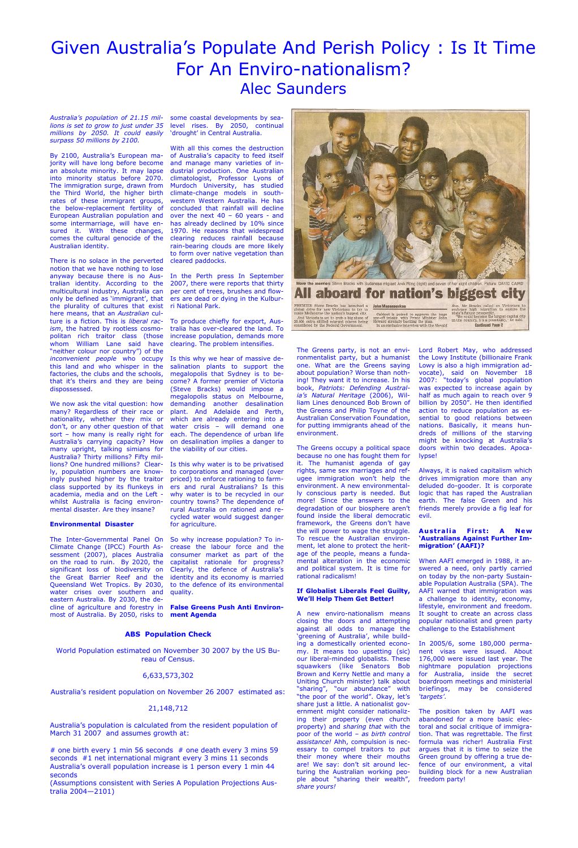## Given Australia's Populate And Perish Policy : Is It Time For An Enviro-nationalism? Alec Saunders

*Australia's population of 21.15 millions is set to grow to just under 35 millions by 2050. It could easily surpass 50 millions by 2100.*

By 2100, Australia's European majority will have long before become an absolute minority. It may lapse into minority status before 2070. The immigration surge, drawn from the Third World, the higher birth rates of these immigrant groups, the below-replacement fertility of European Australian population and some intermarriage, will have ensured it. With these changes, comes the cultural genocide of the Australian identity.

There is no solace in the perverted notion that we have nothing to lose anyway because there is no Australian identity. According to the multicultural industry, Australia can only be defined as 'immigrant', that the plurality of cultures that exist here means, that an *Australian* culture is a fiction. This is *liberal racism*, the hatred by rootless cosmopolitan rich traitor class (those whom William Lane said have "neither colour nor country") of the *inconvenient people* who occupy this land and who whisper in the factories, the clubs and the schools, that it's theirs and they are being dispossessed.

We now ask the vital question: how many? Regardless of their race or nationality, whether they mix or don't, or any other question of that sort – how many is really right for Australia's carrying capacity? How many upright, talking simians for Australia? Thirty millions? Fifty millions? One hundred millions? Clearly, population numbers are knowingly pushed higher by the traitor class supported by its flunkeys in academia, media and on the Left whilst Australia is facing environmental disaster. Are they insane?

#### **Environmental Disaster**

The Inter-Governmental Panel On So why increase population? To in-Climate Change (IPCC) Fourth As-crease the labour force and the sessment (2007), places Australia consumer market as part of the on the road to ruin. By 2020, the capitalist rationale for progress? significant loss of biodiversity on the Great Barrier Reef and the Queensland Wet Tropics. By 2030, water crises over southern and eastern Australia. By 2030, the decline of agriculture and forestry in most of Australia. By 2050, risks to

some coastal developments by sealevel rises. By 2050, continual 'drought' in Central Australia.

With all this comes the destruction of Australia's capacity to feed itself and manage many varieties of industrial production. One Australian climatologist, Professor Lyons of Murdoch University, has studied climate-change models in southwestern Western Australia. He has concluded that rainfall will decline over the next 40 – 60 years - and has already declined by 10% since 1970. He reasons that widespread clearing reduces rainfall because rain-bearing clouds are more likely to form over native vegetation than cleared paddocks.

In the Perth press In September 2007, there were reports that thirty per cent of trees, brushes and flowers are dead or dying in the Kulburri National Park.

To produce chiefly for export, Australia has over-cleared the land. To increase population, demands more clearing. The problem intensifies.

Is this why we hear of massive desalination plants to support the megalopolis that Sydney is to become? A former premier of Victoria (Steve Bracks) would impose a megalopolis status on Melbourne, demanding another desalination plant. And Adelaide and Perth, which are already entering into a water crisis – will demand one each. The dependence of urban life on desalination implies a danger to the viability of our cities.

> **Australia First: A New 'Australians Against Further Immigration' (AAFI)?**

Is this why water is to be privatised to corporations and managed (over priced) to enforce rationing to farmers and rural Australians? Is this why water is to be recycled in our country towns? The dependence of rural Australia on rationed and recycled water would suggest danger for agriculture.

Clearly, the defence of Australia's identity and its economy is married to the defence of its environmental quality.



global drive for new Victorians to try to<br>make Melbourne the nation's biggest city. and Victoria is set to grab a big share of<br>20,000 extra skilled migrant places being<br>considered by the Federal Government.

**John Masanauskas** et is poised to approve the huge<br>intake, with Prime Minister John<br>istrongly backing the plan one-off intake, with Prime Minister John<br>Howard strongly backing the plan.<br>In an exclusive interview with the *Herald* 

high migration to ensure state's future prosperity.<br>"We could become the largest capital city<br>in the country, it's a possibility," he said. **Continued Page 2** 

# one birth every 1 min 56 seconds # one death every 3 mins 59 seconds #1 net international migrant every 3 mins 11 seconds Australia's overall population increase is 1 person every 1 min 44 seconds

**False Greens Push Anti Environment Agenda**

The Greens party, is not an environmentalist party, but a humanist one. What are the Greens saying about population? Worse than nothing! They want it to increase. In his book, *Patriots: Defending Australia's Natural Heritage* (2006), William Lines denounced Bob Brown of the Greens and Philip Toyne of the Australian Conservation Foundation, for putting immigrants ahead of the environment.

The Greens occupy a political space because no one has fought them for it. The humanist agenda of gay rights, same sex marriages and refugee immigration won't help the environment. A new environmentally conscious party is needed. But more! Since the answers to the degradation of our biosphere aren't found inside the liberal democratic framework, the Greens don't have the will power to wage the struggle. To rescue the Australian environment, let alone to protect the heritage of the people, means a fundamental alteration in the economic and political system. It is time for rational radicalism!

#### **If Globalist Liberals Feel Guilty, We'll Help Them Get Better!**

A new enviro-nationalism means closing the doors and attempting against all odds to manage the 'greening of Australia', while building a domestically oriented economy. It means too upsetting (sic) our liberal-minded globalists. These squawkers (like Senators Bob Brown and Kerry Nettle and many a Uniting Church minister) talk about "sharing", "our abundance" with "the poor of the world". Okay, let's share just a little. A nationalist government might consider nationalizing their property (even church property) and *sharing that* with the poor of the world – *as birth control assistance!* Ahh, compulsion is necessary to compel traitors to put their money where their mouths are! We say: don't sit around lecturing the Australian working people about "sharing their wealth", *share yours!*

Lord Robert May, who addressed the Lowy Institute (billionaire Frank Lowy is also a high immigration advocate), said on November 18 2007: "today's global population was expected to increase again by half as much again to reach over 9 billion by 2050". He then identified action to reduce population as essential to good relations between nations. Basically, it means hundreds of millions of the starving might be knocking at Australia's doors within two decades. Apocalypse!

Always, it is naked capitalism which drives immigration more than any deluded do-gooder. It is corporate logic that has raped the Australian earth. The false Green and his friends merely provide a fig leaf for evil.

When AAFI emerged in 1988, it answered a need, only partly carried on today by the non-party Sustainable Population Australia (SPA). The AAFI warned that immigration was a challenge to identity, economy, lifestyle, environment and freedom. It sought to create an across class popular nationalist and green party challenge to the Establishment

In 2005/6, some 180,000 permanent visas were issued. About 176,000 were issued last year. The nightmare population projections for Australia, inside the secret boardroom meetings and ministerial briefings, may be considered *'targets'*.

The position taken by AAFI was abandoned for a more basic electoral and social critique of immigration. That was regrettable. The first formula was richer! Australia First argues that it is time to seize the Green ground by offering a true defence of our environment, a vital building block for a new Australian freedom party!

#### **ABS Population Check**

World Population estimated on November 30 2007 by the US Bureau of Census.

#### 6,633,573,302

Australia's resident population on November 26 2007 estimated as:

#### 21,148,712

Australia's population is calculated from the resident population of March 31 2007 and assumes growth at:

(Assumptions consistent with Series A Population Projections Australia 2004—2101)